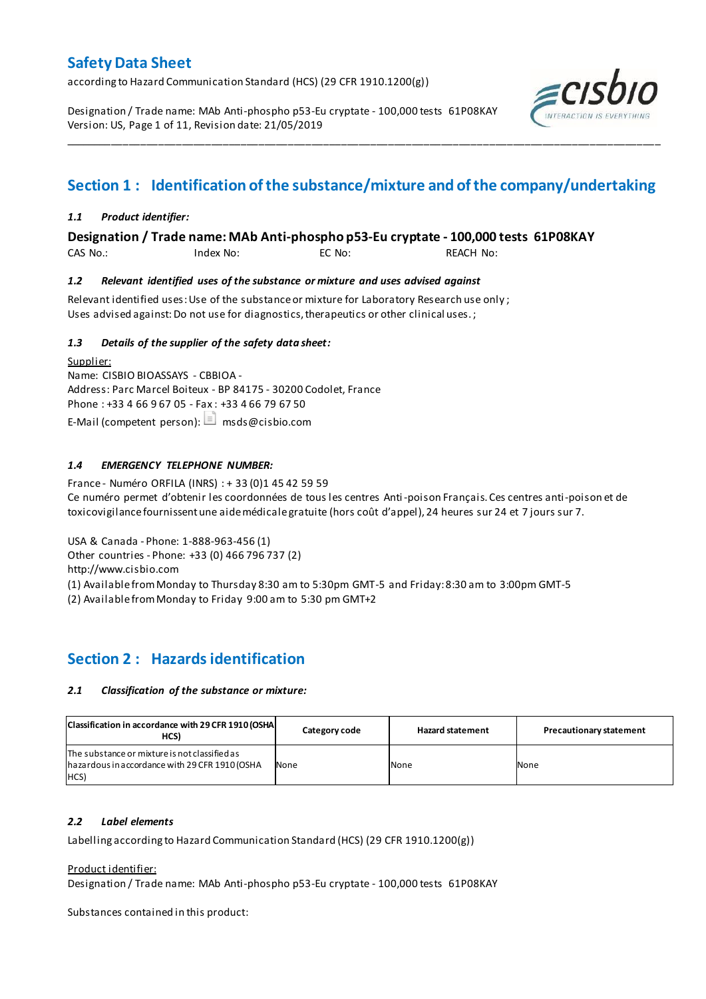according to Hazard Communication Standard (HCS) (29 CFR 1910.1200(g))

Designation / Trade name: MAb Anti-phospho p53-Eu cryptate - 100,000 tests 61P08KAY Version: US, Page 1 of 11, Revision date: 21/05/2019



# **Section 1 : Identification of the substance/mixture and of the company/undertaking**

\_\_\_\_\_\_\_\_\_\_\_\_\_\_\_\_\_\_\_\_\_\_\_\_\_\_\_\_\_\_\_\_\_\_\_\_\_\_\_\_\_\_\_\_\_\_\_\_\_\_\_\_\_\_\_\_\_\_\_\_\_\_\_\_\_\_\_\_\_\_\_\_\_\_\_\_\_\_\_\_\_\_\_\_\_\_\_\_\_\_\_\_\_\_\_\_\_\_\_\_\_

#### *1.1 Product identifier:*

**Designation / Trade name: MAb Anti-phospho p53-Eu cryptate - 100,000 tests 61P08KAY** 

CAS No.: Index No: EC No: REACH No:

#### *1.2 Relevant identified uses of the substance or mixture and uses advised against*

Relevant identified uses: Use of the substance or mixture for Laboratory Research use only ; Uses advised against: Do not use for diagnostics, therapeutics or other clinical uses.;

#### *1.3 Details of the supplier of the safety data sheet:*

Supplier: Name: CISBIO BIOASSAYS - CBBIOA - Address: Parc Marcel Boiteux - BP 84175 - 30200 Codolet, France Phone : +33 4 66 9 67 05 - Fax : +33 4 66 79 67 50 E-Mail (competent person):  $\Box$  msds@cisbio.com

#### *1.4 EMERGENCY TELEPHONE NUMBER:*

France - Numéro ORFILA (INRS) : + 33 (0)1 45 42 59 59 Ce numéro permet d'obtenir les coordonnées de tous les centres Anti-poison Français. Ces centres anti-poison et de toxicovigilance fournissent une aide médicale gratuite (hors coût d'appel), 24 heures sur 24 et 7 jours sur 7.

USA & Canada - Phone: 1-888-963-456 (1)

Other countries - Phone: +33 (0) 466 796 737 (2)

http://www.cisbio.com

(1) Available from Monday to Thursday 8:30 am to 5:30pm GMT-5 and Friday: 8:30 am to 3:00pm GMT-5

(2) Available from Monday to Friday 9:00 am to 5:30 pm GMT+2

### **Section 2 : Hazards identification**

#### *2.1 Classification of the substance or mixture:*

| Classification in accordance with 29 CFR 1910 (OSHA)<br>HCS)                                            | Category code | <b>Hazard statement</b> | <b>Precautionary statement</b> |
|---------------------------------------------------------------------------------------------------------|---------------|-------------------------|--------------------------------|
| The substance or mixture is not classified as<br>hazardous in accordance with 29 CFR 1910 (OSHA<br>HCS) | None          | None                    | None                           |

#### *2.2 Label elements*

Labelling according to Hazard Communication Standard (HCS) (29 CFR 1910.1200(g))

#### Product identifier:

Designation / Trade name: MAb Anti-phospho p53-Eu cryptate - 100,000 tests 61P08KAY

Substances contained in this product: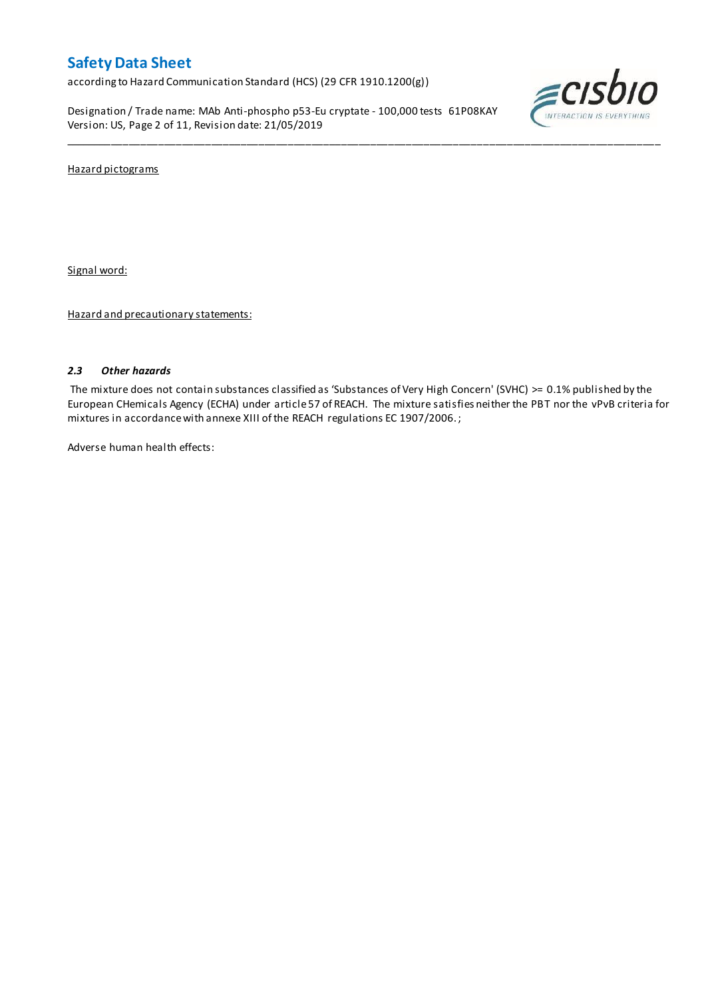according to Hazard Communication Standard (HCS) (29 CFR 1910.1200(g))

Designation / Trade name: MAb Anti-phospho p53-Eu cryptate - 100,000 tests 61P08KAY Version: US, Page 2 of 11, Revision date: 21/05/2019



Hazard pictograms

Signal word:

Hazard and precautionary statements:

#### *2.3 Other hazards*

The mixture does not contain substances classified as 'Substances of Very High Concern' (SVHC) >= 0.1% published by the European CHemicals Agency (ECHA) under article 57 of REACH. The mixture satisfies neither the PBT nor the vPvB criteria for mixtures in accordance with annexe XIII of the REACH regulations EC 1907/2006. ;

\_\_\_\_\_\_\_\_\_\_\_\_\_\_\_\_\_\_\_\_\_\_\_\_\_\_\_\_\_\_\_\_\_\_\_\_\_\_\_\_\_\_\_\_\_\_\_\_\_\_\_\_\_\_\_\_\_\_\_\_\_\_\_\_\_\_\_\_\_\_\_\_\_\_\_\_\_\_\_\_\_\_\_\_\_\_\_\_\_\_\_\_\_\_\_\_\_\_\_\_\_

Adverse human health effects: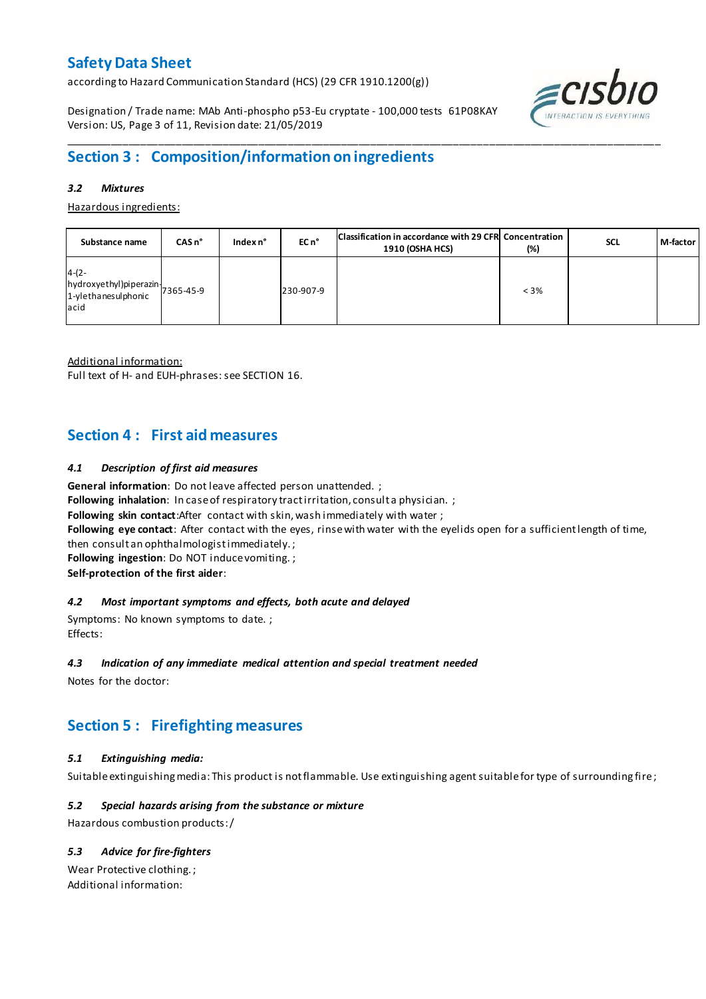according to Hazard Communication Standard (HCS) (29 CFR 1910.1200(g))

Designation / Trade name: MAb Anti-phospho p53-Eu cryptate - 100,000 tests 61P08KAY Version: US, Page 3 of 11, Revision date: 21/05/2019



## **Section 3 : Composition/information on ingredients**

#### *3.2 Mixtures*

Hazardous ingredients:

| Substance name                                                                           | $CASn^{\circ}$ | Index $n^{\circ}$ | EC n <sup>o</sup> | Classification in accordance with 29 CFR Concentration<br><b>1910 (OSHA HCS)</b> | (%)     | <b>SCL</b> | M-factor |
|------------------------------------------------------------------------------------------|----------------|-------------------|-------------------|----------------------------------------------------------------------------------|---------|------------|----------|
| $4-(2-$<br>$[hydroxyethyl]$ piperazin $\bigg  7365-45-9$<br>1-ylethanesulphonic<br>lacid |                |                   | 230-907-9         |                                                                                  | $< 3\%$ |            |          |

\_\_\_\_\_\_\_\_\_\_\_\_\_\_\_\_\_\_\_\_\_\_\_\_\_\_\_\_\_\_\_\_\_\_\_\_\_\_\_\_\_\_\_\_\_\_\_\_\_\_\_\_\_\_\_\_\_\_\_\_\_\_\_\_\_\_\_\_\_\_\_\_\_\_\_\_\_\_\_\_\_\_\_\_\_\_\_\_\_\_\_\_\_\_\_\_\_\_\_\_\_

Additional information:

Full text of H- and EUH-phrases: see SECTION 16.

### **Section 4 : First aid measures**

#### *4.1 Description of first aid measures*

**General information**: Do not leave affected person unattended. ;

Following inhalation: In case of respiratory tract irritation, consult a physician. ;

**Following skin contact**:After contact with skin, wash immediately with water ;

**Following eye contact**: After contact with the eyes, rinse with water with the eyelids open for a sufficient length of time,

then consult an ophthalmologist immediately. ;

**Following ingestion**: Do NOT induce vomiting. ;

**Self-protection of the first aider**:

#### *4.2 Most important symptoms and effects, both acute and delayed*

Symptoms: No known symptoms to date. ; Effects:

#### *4.3 Indication of any immediate medical attention and special treatment needed*

Notes for the doctor:

## **Section 5 : Firefighting measures**

#### *5.1 Extinguishing media:*

Suitable extinguishing media: This product is not flammable. Use extinguishing agent suitable for type of surrounding fire ;

#### *5.2 Special hazards arising from the substance or mixture*

Hazardous combustion products:/

#### *5.3 Advice for fire-fighters*

Wear Protective clothing. ; Additional information: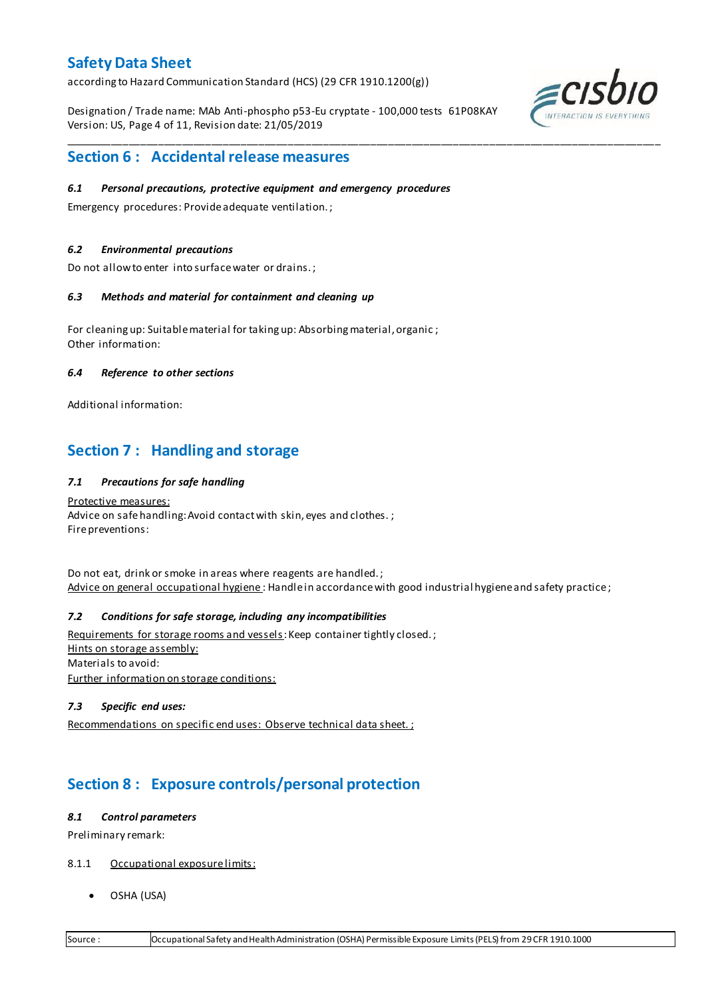according to Hazard Communication Standard (HCS) (29 CFR 1910.1200(g))

Designation / Trade name: MAb Anti-phospho p53-Eu cryptate - 100,000 tests 61P08KAY Version: US, Page 4 of 11, Revision date: 21/05/2019

\_\_\_\_\_\_\_\_\_\_\_\_\_\_\_\_\_\_\_\_\_\_\_\_\_\_\_\_\_\_\_\_\_\_\_\_\_\_\_\_\_\_\_\_\_\_\_\_\_\_\_\_\_\_\_\_\_\_\_\_\_\_\_\_\_\_\_\_\_\_\_\_\_\_\_\_\_\_\_\_\_\_\_\_\_\_\_\_\_\_\_\_\_\_\_\_\_\_\_\_\_



### **Section 6 : Accidental release measures**

#### *6.1 Personal precautions, protective equipment and emergency procedures*

Emergency procedures: Provide adequate ventilation. ;

#### *6.2 Environmental precautions*

Do not allow to enter into surface water or drains. ;

#### *6.3 Methods and material for containment and cleaning up*

For cleaning up: Suitable material for taking up: Absorbing material, organic ; Other information:

#### *6.4 Reference to other sections*

Additional information:

### **Section 7 : Handling and storage**

#### *7.1 Precautions for safe handling*

Protective measures: Advice on safe handling: Avoid contact with skin, eyes and clothes.; Fire preventions:

Do not eat, drink or smoke in areas where reagents are handled. ; Advice on general occupational hygiene: Handle in accordance with good industrial hygiene and safety practice;

#### *7.2 Conditions for safe storage, including any incompatibilities*

Requirements for storage rooms and vessels: Keep container tightly closed.; Hints on storage assembly: Materials to avoid: Further information on storage conditions:

#### *7.3 Specific end uses:*

Recommendations on specific end uses: Observe technical data sheet. ;

## **Section 8 : Exposure controls/personal protection**

#### *8.1 Control parameters*

Preliminary remark:

- 8.1.1 Occupational exposure limits:
	- OSHA (USA)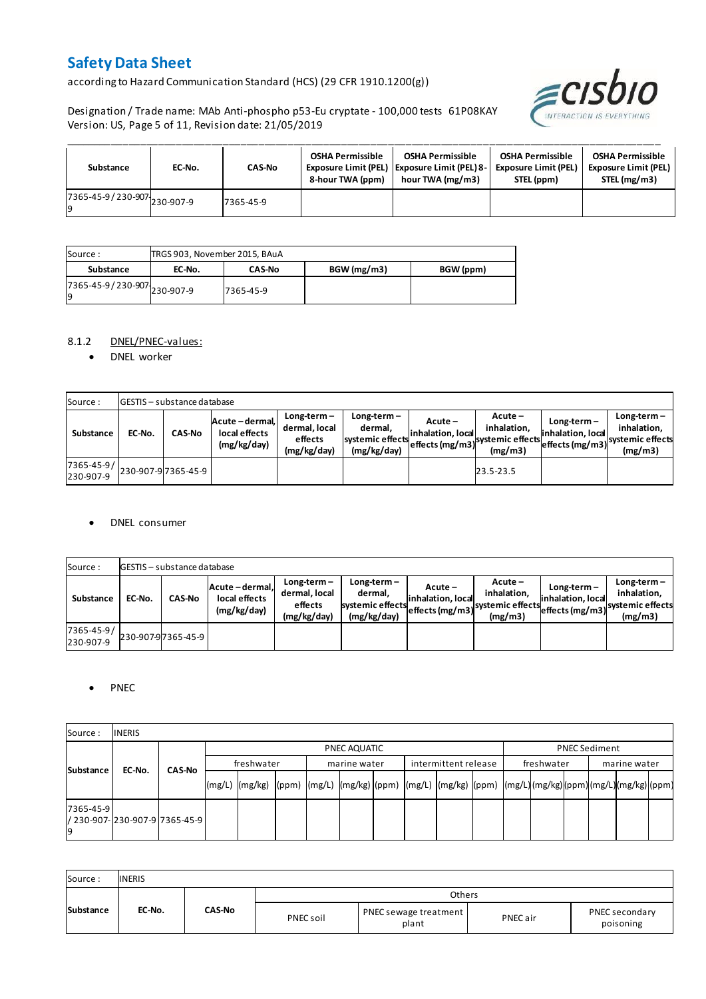according to Hazard Communication Standard (HCS) (29 CFR 1910.1200(g))

Designation / Trade name: MAb Anti-phospho p53-Eu cryptate - 100,000 tests 61P08KAY Version: US, Page 5 of 11, Revision date: 21/05/2019



| Substance                         | EC-No. | <b>CAS-No</b> | <b>OSHA Permissible</b><br>8-hour TWA (ppm) | <b>OSHA Permissible</b><br>Exposure Limit (PEL) Exposure Limit (PEL) 8-<br>hour TWA (mg/m3) | <b>OSHA Permissible</b><br><b>Exposure Limit (PEL)</b><br>STEL (ppm) | <b>OSHA Permissible</b><br><b>Exposure Limit (PEL)</b><br>STEL (mg/m3) |
|-----------------------------------|--------|---------------|---------------------------------------------|---------------------------------------------------------------------------------------------|----------------------------------------------------------------------|------------------------------------------------------------------------|
| 7365-45-9/230-907-230-907-9<br>١q |        | 7365-45-9     |                                             |                                                                                             |                                                                      |                                                                        |

| Source :                            | TRGS 903, November 2015, BAuA |               |            |           |
|-------------------------------------|-------------------------------|---------------|------------|-----------|
| Substance                           | EC-No.                        | <b>CAS-No</b> | BGW(mg/m3) | BGW (ppm) |
| 7365-45-9 / 230-907 230-907-9<br>19 |                               | 7365-45-9     |            |           |

#### 8.1.2 DNEL/PNEC-values:

• DNEL worker

| Source:                 |        | <b>GESTIS</b> - substance database |                                                 |                                                          |                                                             |                              |                                                                                                            |                                    |                                         |
|-------------------------|--------|------------------------------------|-------------------------------------------------|----------------------------------------------------------|-------------------------------------------------------------|------------------------------|------------------------------------------------------------------------------------------------------------|------------------------------------|-----------------------------------------|
| Substance               | EC-No. | <b>CAS-No</b>                      | Acute - dermal,<br>local effects<br>(mg/kg/day) | $Long-term -$<br>dermal, local<br>effects<br>(mg/kg/day) | $Long-term -$<br>dermal.<br>systemic effects<br>(mg/kg/day) | Acute –<br>inhalation, local | $Acute -$<br>inhalation.<br>effects (mg/m3) <sup>systemic</sup> effects (mg/m3)systemic effects<br>(mg/m3) | $Long-term -$<br>inhalation, local | $Long-term -$<br>inhalation.<br>(mg/m3) |
| 7365-45-9/<br>230-907-9 |        | 230-907-9 7365-45-9                |                                                 |                                                          |                                                             |                              | 23.5-23.5                                                                                                  |                                    |                                         |

#### DNEL consumer

| Source:                 |        | GESTIS - substance database |                                                 |                                                          |                                                             |                              |                                                                                             |                                  |                                                                             |
|-------------------------|--------|-----------------------------|-------------------------------------------------|----------------------------------------------------------|-------------------------------------------------------------|------------------------------|---------------------------------------------------------------------------------------------|----------------------------------|-----------------------------------------------------------------------------|
| Substance               | EC-No. | <b>CAS-No</b>               | Acute - dermal,<br>local effects<br>(mg/kg/day) | $Long-term -$<br>dermal, local<br>effects<br>(mg/kg/day) | $Long-term -$<br>dermal.<br>systemic effects<br>(mg/kg/day) | Acute –<br>inhalation. local | $Acute -$<br>inhalation.<br>--->leffects (mg/m3) systemic effects <sub>et-</sub><br>(mg/m3) | Long-term –<br>inhalation. local | $Long-term -$<br>inhalation.<br>effects (mg/m3) systemic effects<br>(mg/m3) |
| 7365-45-9/<br>230-907-9 |        | 230-907-97365-45-9          |                                                 |                                                          |                                                             |                              |                                                                                             |                                  |                                                                             |

#### • PNEC

| Source:         | <b>INERIS</b>                    |               |        |              |  |  |              |  |                      |  |            |                      |              |  |  |  |  |
|-----------------|----------------------------------|---------------|--------|--------------|--|--|--------------|--|----------------------|--|------------|----------------------|--------------|--|--|--|--|
|                 |                                  |               |        | PNEC AQUATIC |  |  |              |  |                      |  |            | <b>PNEC Sediment</b> |              |  |  |  |  |
| Substance       | EC-No.                           | <b>CAS-No</b> |        | freshwater   |  |  | marine water |  | intermittent release |  | freshwater |                      | marine water |  |  |  |  |
|                 |                                  |               | (mg/L) |              |  |  |              |  |                      |  |            |                      |              |  |  |  |  |
| 7365-45-9<br>۱q | l/ 230-907-l230-907-9l7365-45-9l |               |        |              |  |  |              |  |                      |  |            |                      |              |  |  |  |  |

| Source:   | <b>INERIS</b> |        |           |                                |          |                             |
|-----------|---------------|--------|-----------|--------------------------------|----------|-----------------------------|
|           |               |        |           | <b>Others</b>                  |          |                             |
| Substance | EC-No.        | CAS-No | PNEC soil | PNEC sewage treatment<br>plant | PNEC air | PNEC secondary<br>poisoning |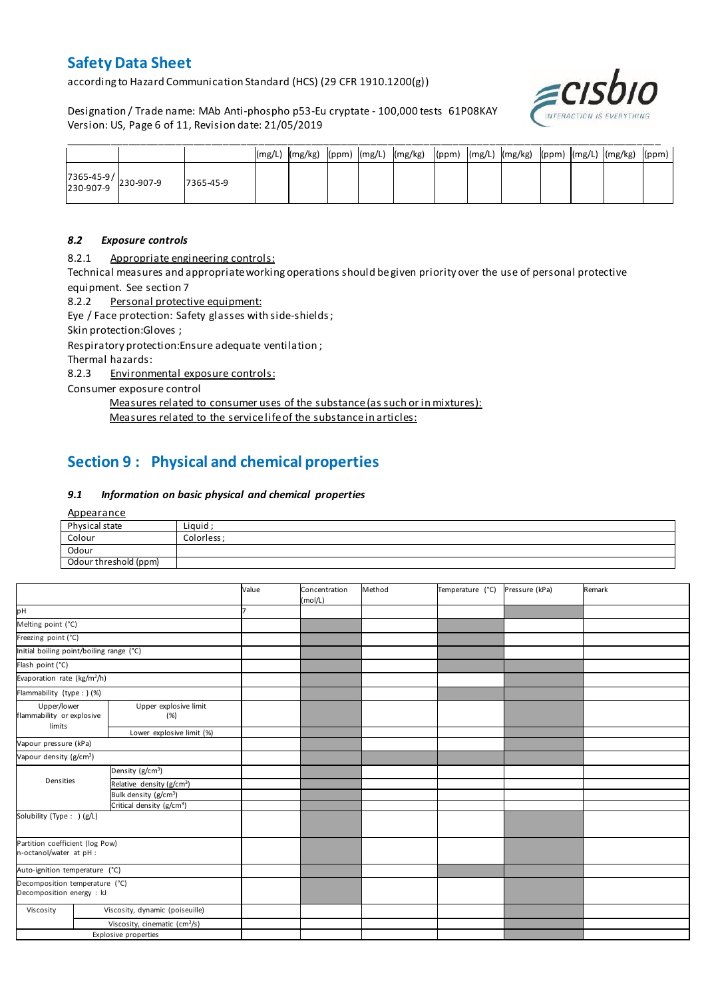according to Hazard Communication Standard (HCS) (29 CFR 1910.1200(g))

Designation / Trade name: MAb Anti-phospho p53-Eu cryptate - 100,000 tests 61P08KAY Version: US, Page 6 of 11, Revision date: 21/05/2019



|                                                                                       |           |  |  | $\left(\frac{mg}{L}\right)$ $\left(\frac{mg}{kg}\right)$ $\left(\frac{ppm}{g/L}\right)$ $\left(\frac{mg}{kg}\right)$ $\left(\frac{ppm}{g/L}\right)$ $\left(\frac{mg}{g}\right)$ $\left(\frac{mg}{g}\right)$ $\left(\frac{mg}{g}\right)$ $\left(\frac{ppm}{g/L}\right)$ |  |  |  |  |
|---------------------------------------------------------------------------------------|-----------|--|--|------------------------------------------------------------------------------------------------------------------------------------------------------------------------------------------------------------------------------------------------------------------------|--|--|--|--|
| $\begin{array}{ c c c c }\n 7365-45-9 & & 230-907-9 \\ 230-907-9 & & & \n\end{array}$ | 7365-45-9 |  |  |                                                                                                                                                                                                                                                                        |  |  |  |  |

#### *8.2 Exposure controls*

8.2.1 Appropriate engineering controls:

Technical measures and appropriate working operations should be given priority over the use of personal protective equipment. See section 7

8.2.2 Personal protective equipment:

Eye / Face protection: Safety glasses with side-shields ;

Skin protection:Gloves ;

Respiratory protection:Ensure adequate ventilation ;

Thermal hazards:

8.2.3 Environmental exposure controls:

Consumer exposure control

Measures related to consumer uses of the substance (as such or in mixtures):

Measures related to the service life of the substance in articles:

## **Section 9 : Physical and chemical properties**

#### *9.1 Information on basic physical and chemical properties*

**Appearance** 

| Physical state        | Liguid      |
|-----------------------|-------------|
| Colour                | Colorless : |
| Odour                 |             |
| Odour threshold (ppm) |             |

|                                                             |                                                                          |                                           | Value | Concentration<br>(mol/L) | Method | Temperature (°C) | Pressure (kPa) | Remark |
|-------------------------------------------------------------|--------------------------------------------------------------------------|-------------------------------------------|-------|--------------------------|--------|------------------|----------------|--------|
| pН                                                          |                                                                          |                                           |       |                          |        |                  |                |        |
| Melting point (°C)                                          |                                                                          |                                           |       |                          |        |                  |                |        |
| Freezing point (°C)                                         |                                                                          |                                           |       |                          |        |                  |                |        |
| Initial boiling point/boiling range (°C)                    |                                                                          |                                           |       |                          |        |                  |                |        |
| Flash point (°C)                                            |                                                                          |                                           |       |                          |        |                  |                |        |
| Evaporation rate (kg/m <sup>2</sup> /h)                     |                                                                          |                                           |       |                          |        |                  |                |        |
| Flammability (type : ) (%)                                  |                                                                          |                                           |       |                          |        |                  |                |        |
|                                                             | Upper explosive limit<br>Upper/lower<br>flammability or explosive<br>(%) |                                           |       |                          |        |                  |                |        |
|                                                             | limits<br>Lower explosive limit (%)                                      |                                           |       |                          |        |                  |                |        |
| Vapour pressure (kPa)                                       |                                                                          |                                           |       |                          |        |                  |                |        |
| Vapour density (g/cm <sup>3</sup> )                         |                                                                          |                                           |       |                          |        |                  |                |        |
|                                                             |                                                                          | Density (g/cm <sup>3</sup> )              |       |                          |        |                  |                |        |
| Densities                                                   |                                                                          | Relative density (g/cm <sup>3</sup> )     |       |                          |        |                  |                |        |
|                                                             |                                                                          | Bulk density (g/cm <sup>3</sup> )         |       |                          |        |                  |                |        |
|                                                             |                                                                          | Critical density (g/cm <sup>3</sup> )     |       |                          |        |                  |                |        |
| Solubility (Type: ) (g/L)                                   |                                                                          |                                           |       |                          |        |                  |                |        |
| Partition coefficient (log Pow)<br>n-octanol/water at pH :  |                                                                          |                                           |       |                          |        |                  |                |        |
| Auto-ignition temperature (°C)                              |                                                                          |                                           |       |                          |        |                  |                |        |
| Decomposition temperature (°C)<br>Decomposition energy : kJ |                                                                          |                                           |       |                          |        |                  |                |        |
| Viscosity                                                   |                                                                          | Viscosity, dynamic (poiseuille)           |       |                          |        |                  |                |        |
|                                                             |                                                                          | Viscosity, cinematic (cm <sup>3</sup> /s) |       |                          |        |                  |                |        |
|                                                             |                                                                          | <b>Explosive properties</b>               |       |                          |        |                  |                |        |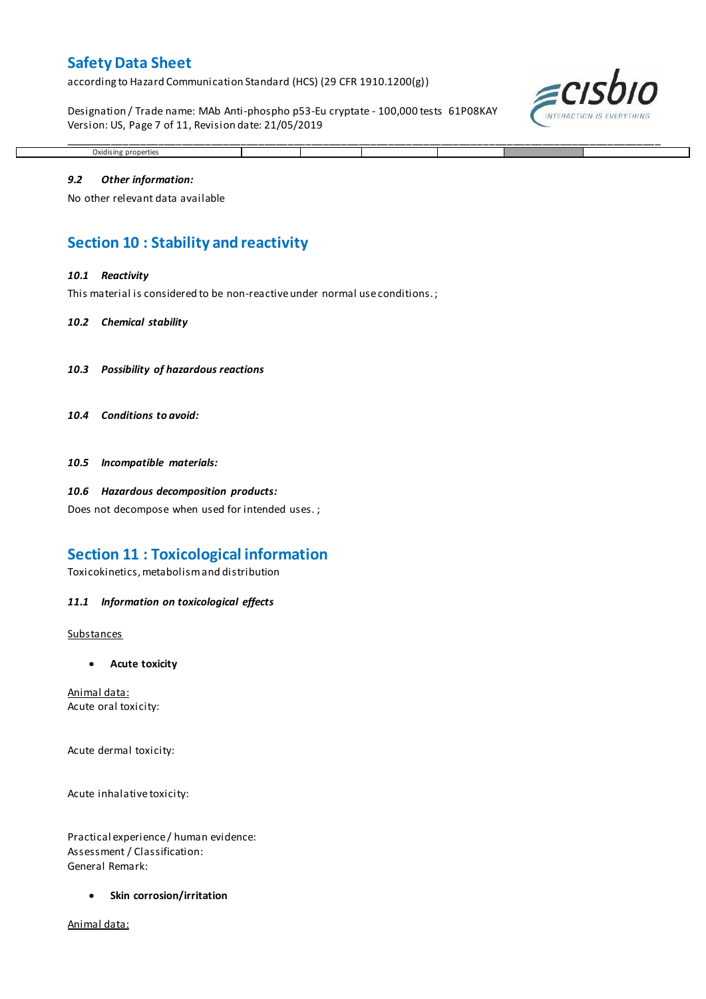according to Hazard Communication Standard (HCS) (29 CFR 1910.1200(g))

Designation / Trade name: MAb Anti-phospho p53-Eu cryptate - 100,000 tests 61P08KAY Version: US, Page 7 of 11, Revision date: 21/05/2019

\_\_\_\_\_\_\_\_\_\_\_\_\_\_\_\_\_\_\_\_\_\_\_\_\_\_\_\_\_\_\_\_\_\_\_\_\_\_\_\_\_\_\_\_\_\_\_\_\_\_\_\_\_\_\_\_\_\_\_\_\_\_\_\_\_\_\_\_\_\_\_\_\_\_\_\_\_\_\_\_\_\_\_\_\_\_\_\_\_\_\_\_\_\_\_\_\_\_\_\_\_



# Oxidising properties *9.2 Other information:*

No other relevant data available

### **Section 10 : Stability and reactivity**

#### *10.1 Reactivity*

This material is considered to be non-reactive under normal use conditions. ;

#### *10.2 Chemical stability*

- *10.3 Possibility of hazardous reactions*
- *10.4 Conditions to avoid:*

*10.5 Incompatible materials:*

#### *10.6 Hazardous decomposition products:*

Does not decompose when used for intended uses. ;

### **Section 11 : Toxicological information**

Toxicokinetics, metabolism and distribution

#### *11.1 Information on toxicological effects*

#### **Substances**

**Acute toxicity**

Animal data: Acute oral toxicity:

Acute dermal toxicity:

Acute inhalative toxicity:

Practical experience / human evidence: Assessment / Classification: General Remark:

**Skin corrosion/irritation**

Animal data: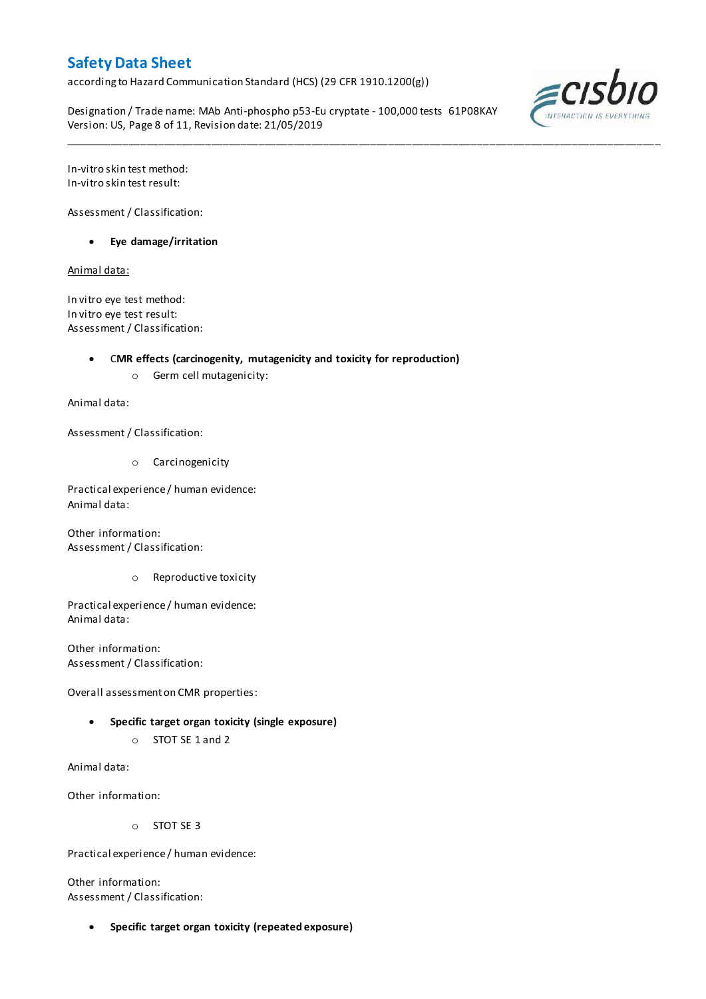according to Hazard Communication Standard (HCS) (29 CFR 1910.1200(g))

Designation / Trade name: MAb Anti-phospho p53-Eu cryptate - 100,000 tests 61P08KAY Version: US, Page 8 of 11, Revision date: 21/05/2019

\_\_\_\_\_\_\_\_\_\_\_\_\_\_\_\_\_\_\_\_\_\_\_\_\_\_\_\_\_\_\_\_\_\_\_\_\_\_\_\_\_\_\_\_\_\_\_\_\_\_\_\_\_\_\_\_\_\_\_\_\_\_\_\_\_\_\_\_\_\_\_\_\_\_\_\_\_\_\_\_\_\_\_\_\_\_\_\_\_\_\_\_\_\_\_\_\_\_\_\_\_



In-vitro skin test method: In-vitro skin test result:

Assessment / Classification:

**Eye damage/irritation**

Animal data:

In vitro eye test method: In vitro eye test result: Assessment / Classification:

C**MR effects (carcinogenity, mutagenicity and toxicity for reproduction)**

o Germ cell mutagenicity:

Animal data:

Assessment / Classification:

o Carcinogenicity

Practical experience / human evidence: Animal data:

Other information: Assessment / Classification:

o Reproductive toxicity

Practical experience / human evidence: Animal data:

Other information: Assessment / Classification:

Overall assessment on CMR properties:

- **Specific target organ toxicity (single exposure)**
	- o STOT SE 1 and 2

Animal data:

Other information:

o STOT SE 3

Practical experience / human evidence:

Other information: Assessment / Classification:

**Specific target organ toxicity (repeated exposure)**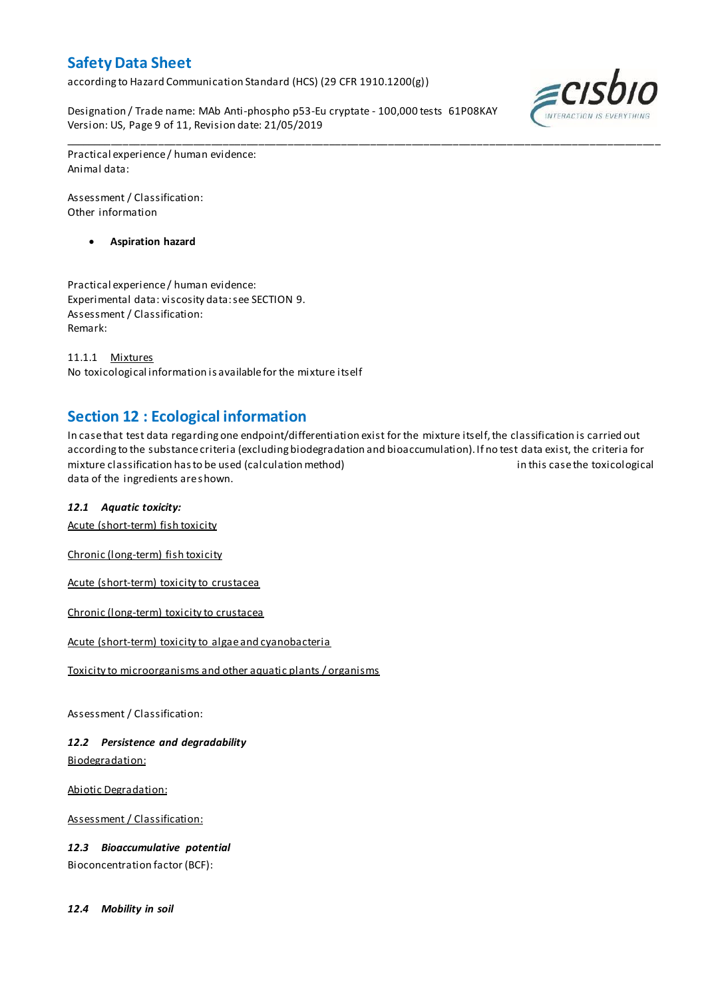according to Hazard Communication Standard (HCS) (29 CFR 1910.1200(g))

Designation / Trade name: MAb Anti-phospho p53-Eu cryptate - 100,000 tests 61P08KAY Version: US, Page 9 of 11, Revision date: 21/05/2019



Practical experience / human evidence: Animal data:

Assessment / Classification: Other information

**Aspiration hazard**

Practical experience / human evidence: Experimental data: viscosity data: see SECTION 9. Assessment / Classification: Remark:

11.1.1 Mixtures No toxicological information is available for the mixture itself

### **Section 12 : Ecological information**

In case that test data regarding one endpoint/differentiation exist for the mixture itself, the classification is carried out according to the substance criteria (excluding biodegradation and bioaccumulation). If no test data exist, the criteria for mixture classification has to be used (calculation method) in this case the toxicological data of the ingredients are shown.

\_\_\_\_\_\_\_\_\_\_\_\_\_\_\_\_\_\_\_\_\_\_\_\_\_\_\_\_\_\_\_\_\_\_\_\_\_\_\_\_\_\_\_\_\_\_\_\_\_\_\_\_\_\_\_\_\_\_\_\_\_\_\_\_\_\_\_\_\_\_\_\_\_\_\_\_\_\_\_\_\_\_\_\_\_\_\_\_\_\_\_\_\_\_\_\_\_\_\_\_\_

#### *12.1 Aquatic toxicity:*

Acute (short-term) fish toxicity

Chronic (long-term) fish toxicity

Acute (short-term) toxicity to crustacea

Chronic (long-term) toxicity to crustacea

Acute (short-term) toxicity to algae and cyanobacteria

Toxicity to microorganisms and other aquatic plants / organisms

Assessment / Classification:

*12.2 Persistence and degradability* Biodegradation:

Abiotic Degradation:

Assessment / Classification:

*12.3 Bioaccumulative potential* Bioconcentration factor (BCF):

*12.4 Mobility in soil*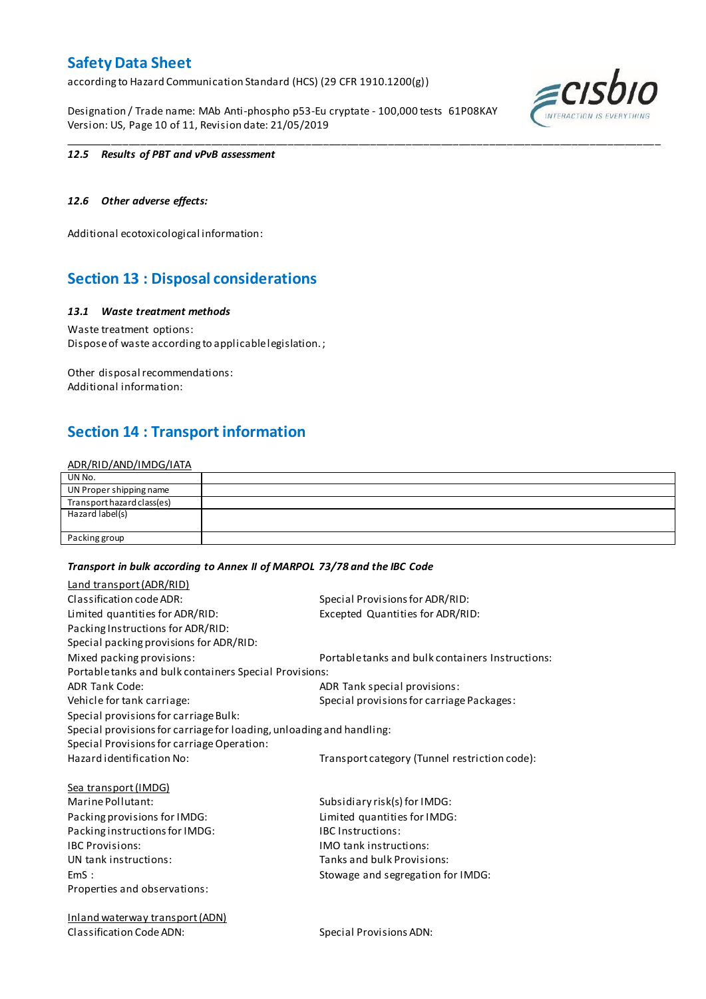according to Hazard Communication Standard (HCS) (29 CFR 1910.1200(g))

Designation / Trade name: MAb Anti-phospho p53-Eu cryptate - 100,000 tests 61P08KAY Version: US, Page 10 of 11, Revision date: 21/05/2019



#### *12.5 Results of PBT and vPvB assessment*

#### *12.6 Other adverse effects:*

Additional ecotoxicological information:

### **Section 13 : Disposal considerations**

#### *13.1 Waste treatment methods*

Waste treatment options: Dispose of waste according to applicable legislation. ;

Other disposal recommendations: Additional information:

### **Section 14 : Transport information**

#### ADR/RID/AND/IMDG/IATA

| UN No.                     |  |
|----------------------------|--|
| UN Proper shipping name    |  |
| Transport hazard class(es) |  |
| Hazard label(s)            |  |
|                            |  |
| Packing group              |  |

\_\_\_\_\_\_\_\_\_\_\_\_\_\_\_\_\_\_\_\_\_\_\_\_\_\_\_\_\_\_\_\_\_\_\_\_\_\_\_\_\_\_\_\_\_\_\_\_\_\_\_\_\_\_\_\_\_\_\_\_\_\_\_\_\_\_\_\_\_\_\_\_\_\_\_\_\_\_\_\_\_\_\_\_\_\_\_\_\_\_\_\_\_\_\_\_\_\_\_\_\_

#### *Transport in bulk according to Annex II of MARPOL 73/78 and the IBC Code*

| Land transport (ADR/RID)                                             |                                                  |
|----------------------------------------------------------------------|--------------------------------------------------|
| Classification code ADR:                                             | Special Provisions for ADR/RID:                  |
| Limited quantities for ADR/RID:                                      | Excepted Quantities for ADR/RID:                 |
| Packing Instructions for ADR/RID:                                    |                                                  |
| Special packing provisions for ADR/RID:                              |                                                  |
| Mixed packing provisions:                                            | Portable tanks and bulk containers Instructions: |
| Portable tanks and bulk containers Special Provisions:               |                                                  |
| <b>ADR Tank Code:</b>                                                | ADR Tank special provisions:                     |
| Vehicle for tank carriage:                                           | Special provisions for carriage Packages:        |
| Special provisions for carriage Bulk:                                |                                                  |
| Special provisions for carriage for loading, unloading and handling: |                                                  |
| Special Provisions for carriage Operation:                           |                                                  |
| Hazard identification No:                                            | Transport category (Tunnel restriction code):    |
| <b>Sea transport (IMDG)</b>                                          |                                                  |
| Marine Pollutant:                                                    | Subsidiary risk(s) for IMDG:                     |
| Packing provisions for IMDG:                                         | Limited quantities for IMDG:                     |
| Packing instructions for IMDG:                                       | <b>IBC</b> Instructions:                         |
| <b>IBC Provisions:</b>                                               | <b>IMO</b> tank instructions:                    |
| UN tank instructions:                                                | Tanks and bulk Provisions:                       |
| EmS:                                                                 | Stowage and segregation for IMDG:                |
| Properties and observations:                                         |                                                  |
| <b>Inland waterway transport (ADN)</b>                               |                                                  |

Classification Code ADN: Special Provisions ADN: